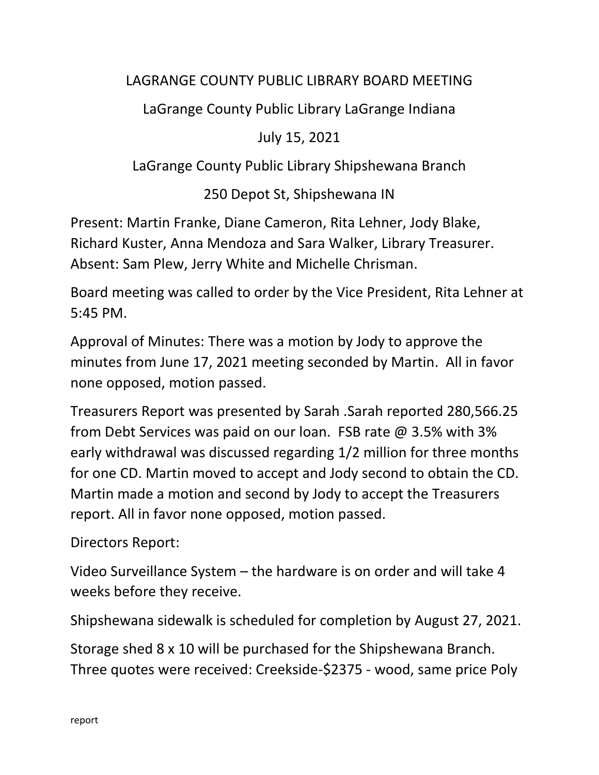## LAGRANGE COUNTY PUBLIC LIBRARY BOARD MEETING

LaGrange County Public Library LaGrange Indiana

July 15, 2021

LaGrange County Public Library Shipshewana Branch

250 Depot St, Shipshewana IN

Present: Martin Franke, Diane Cameron, Rita Lehner, Jody Blake, Richard Kuster, Anna Mendoza and Sara Walker, Library Treasurer. Absent: Sam Plew, Jerry White and Michelle Chrisman.

Board meeting was called to order by the Vice President, Rita Lehner at 5:45 PM.

Approval of Minutes: There was a motion by Jody to approve the minutes from June 17, 2021 meeting seconded by Martin. All in favor none opposed, motion passed.

Treasurers Report was presented by Sarah .Sarah reported 280,566.25 from Debt Services was paid on our loan. FSB rate @ 3.5% with 3% early withdrawal was discussed regarding 1/2 million for three months for one CD. Martin moved to accept and Jody second to obtain the CD. Martin made a motion and second by Jody to accept the Treasurers report. All in favor none opposed, motion passed.

Directors Report:

Video Surveillance System – the hardware is on order and will take 4 weeks before they receive.

Shipshewana sidewalk is scheduled for completion by August 27, 2021.

Storage shed 8 x 10 will be purchased for the Shipshewana Branch. Three quotes were received: Creekside-\$2375 - wood, same price Poly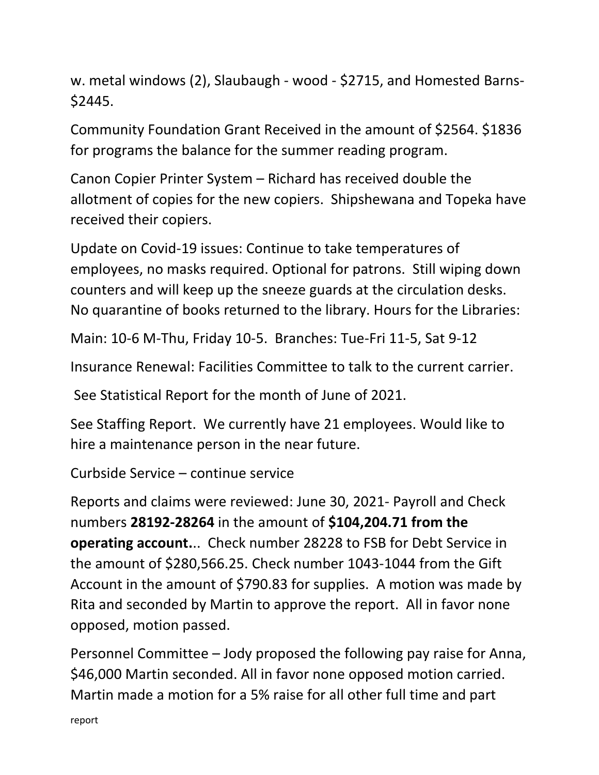w. metal windows (2), Slaubaugh - wood - \$2715, and Homested Barns- \$2445.

Community Foundation Grant Received in the amount of \$2564. \$1836 for programs the balance for the summer reading program.

Canon Copier Printer System – Richard has received double the allotment of copies for the new copiers. Shipshewana and Topeka have received their copiers.

Update on Covid-19 issues: Continue to take temperatures of employees, no masks required. Optional for patrons. Still wiping down counters and will keep up the sneeze guards at the circulation desks. No quarantine of books returned to the library. Hours for the Libraries:

Main: 10-6 M-Thu, Friday 10-5. Branches: Tue-Fri 11-5, Sat 9-12

Insurance Renewal: Facilities Committee to talk to the current carrier.

See Statistical Report for the month of June of 2021.

See Staffing Report. We currently have 21 employees. Would like to hire a maintenance person in the near future.

Curbside Service – continue service

Reports and claims were reviewed: June 30, 2021- Payroll and Check numbers **28192-28264** in the amount of **\$104,204.71 from the operating account.**.. Check number 28228 to FSB for Debt Service in the amount of \$280,566.25. Check number 1043-1044 from the Gift Account in the amount of \$790.83 for supplies. A motion was made by Rita and seconded by Martin to approve the report. All in favor none opposed, motion passed.

Personnel Committee – Jody proposed the following pay raise for Anna, \$46,000 Martin seconded. All in favor none opposed motion carried. Martin made a motion for a 5% raise for all other full time and part